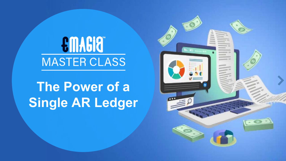# **EMAGIO MASTER CLASS**

# **The Power of a Single AR Ledger**

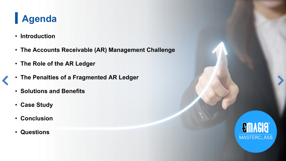# **Agenda**

- **Introduction**
- **The Accounts Receivable (AR) Management Challenge**
- **The Role of the AR Ledger**
- **The Penalties of a Fragmented AR Ledger**
- **Solutions and Benefits**
- **Case Study**
- **Conclusion**
- **Questions**

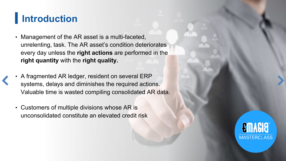## **Introduction**

- Management of the AR asset is a multi-faceted, unrelenting, task. The AR asset's condition deteriorates every day unless the **right actions** are performed in the **right quantity** with the **right quality.**
- A fragmented AR ledger, resident on several ERP systems, delays and diminishes the required actions. Valuable time is wasted compiling consolidated AR data.
- Customers of multiple divisions whose AR is unconsolidated constitute an elevated credit risk

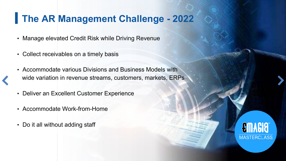#### **The AR Management Challenge - 2022**

- Manage elevated Credit Risk while Driving Revenue
- Collect receivables on a timely basis
- Accommodate various Divisions and Business Models with wide variation in revenue streams, customers, markets, ERPs
- Deliver an Excellent Customer Experience
- Accommodate Work-from-Home
- Do it all without adding staff

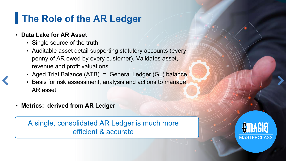# **The Role of the AR Ledger**

#### • **Data Lake for AR Asset**

- Single source of the truth
- Auditable asset detail supporting statutory accounts (every penny of AR owed by every customer). Validates asset, revenue and profit valuations
- Aged Trial Balance (ATB) = General Ledger (GL) balance
- Basis for risk assessment, analysis and actions to manage AR asset
- **Metrics: derived from AR Ledger**

A single, consolidated AR Ledger is much more efficient & accurate

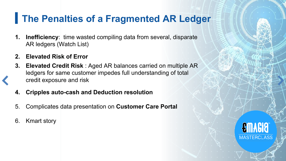#### **The Penalties of a Fragmented AR Ledger**

- **1. Inefficiency:** time wasted compiling data from several, disparate AR ledgers (Watch List)
- **2. Elevated Risk of Error**
- **3. Elevated Credit Risk** : Aged AR balances carried on multiple AR ledgers for same customer impedes full understanding of total credit exposure and risk
- **4. Cripples auto-cash and Deduction resolution**
- 5. Complicates data presentation on **Customer Care Portal**
- 6. Kmart story

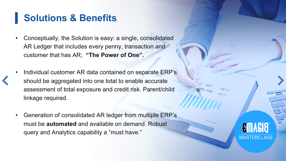### **Solutions & Benefits**

- Conceptually, the Solution is easy: a single, consolidated AR Ledger that includes every penny, transaction and customer that has AR; **"The Power of One".**
- Individual customer AR data contained on separate ERP's should be aggregated into one total to enable accurate assessment of total exposure and credit risk. Parent/child linkage required.
- Generation of consolidated AR ledger from multiple ERP's must be **automated** and available on demand. Robust query and Analytics capability a "must have."

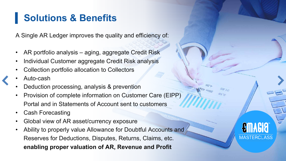### **Solutions & Benefits**

A Single AR Ledger improves the quality and efficiency of:

- AR portfolio analysis aging, aggregate Credit Risk
- Individual Customer aggregate Credit Risk analysis
- Collection portfolio allocation to Collectors
- Auto-cash
- Deduction processing, analysis & prevention
- Provision of complete information on Customer Care (EIPP) Portal and in Statements of Account sent to customers
- **Cash Forecasting**
- Global view of AR asset/currency exposure
- Ability to properly value Allowance for Doubtful Accounts and Reserves for Deductions, Disputes, Returns, Claims, etc. **enabling proper valuation of AR, Revenue and Profit**

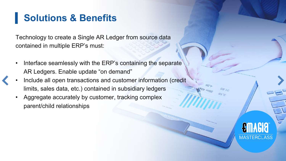### **Solutions & Benefits**

Technology to create a Single AR Ledger from source data contained in multiple ERP's must:

- Interface seamlessly with the ERP's containing the separate AR Ledgers. Enable update "on demand"
- Include all open transactions and customer information (credit limits, sales data, etc.) contained in subsidiary ledgers
	- Aggregate accurately by customer, tracking complex parent/child relationships

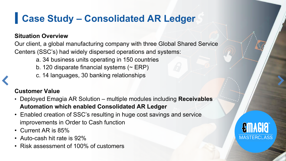# **Case Study – Consolidated AR Ledger**

#### **Situation Overview**

Our client, a global manufacturing company with three Global Shared Service Centers (SSC's) had widely dispersed operations and systems:

- a. 34 business units operating in 150 countries
- b. 120 disparate financial systems  $($   $\sim$  ERP)
- c. 14 languages, 30 banking relationships

#### **Customer Value**

- Deployed Emagia AR Solution multiple modules including **Receivables Automation which enabled Consolidated AR Ledger**
- Enabled creation of SSC's resulting in huge cost savings and service improvements in Order to Cash function
- Current AR is 85%
- Auto-cash hit rate is 92%
- Risk assessment of 100% of customers

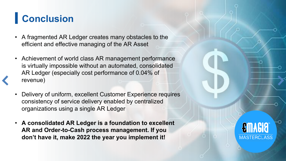# **Conclusion**

- A fragmented AR Ledger creates many obstacles to the efficient and effective managing of the AR Asset
- Achievement of world class AR management performance is virtually impossible without an automated, consolidated AR Ledger (especially cost performance of 0.04% of revenue)
- Delivery of uniform, excellent Customer Experience requires consistency of service delivery enabled by centralized organizations using a single AR Ledger
- **A consolidated AR Ledger is a foundation to excellent AR and Order-to-Cash process management. If you don't have it, make 2022 the year you implement it!**